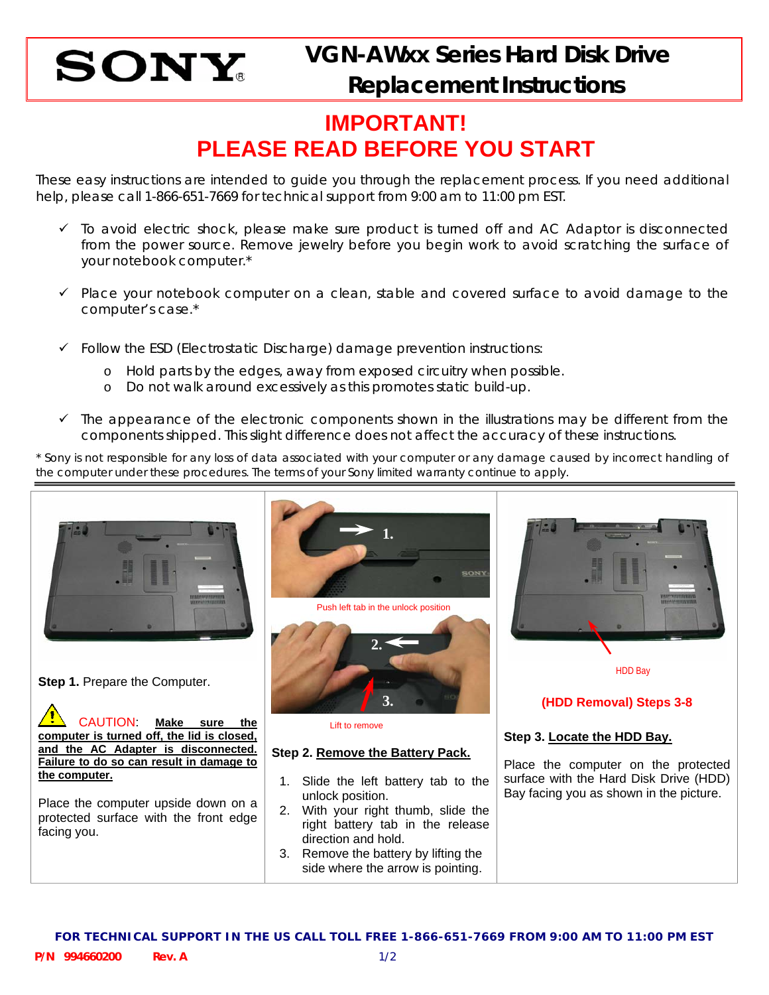

## **IMPORTANT! PLEASE READ BEFORE YOU START**

These easy instructions are intended to guide you through the replacement process. If you need additional help, please call 1-866-651-7669 for technical support from 9:00 am to 11:00 pm EST.

- $\checkmark$  To avoid electric shock, please make sure product is turned off and AC Adaptor is disconnected from the power source. Remove jewelry before you begin work to avoid scratching the surface of your notebook computer.\*
- $\checkmark$  Place your notebook computer on a clean, stable and covered surface to avoid damage to the computer's case.\*
- $\checkmark$  Follow the ESD (Electrostatic Discharge) damage prevention instructions:
	- o Hold parts by the edges, away from exposed circuitry when possible.
	- o Do not walk around excessively as this promotes static build-up.
- $\checkmark$  The appearance of the electronic components shown in the illustrations may be different from the components shipped. This slight difference does not affect the accuracy of these instructions.

\* Sony is not responsible for any loss of data associated with your computer or any damage caused by incorrect handling of the computer under these procedures. The terms of your Sony limited warranty continue to apply.